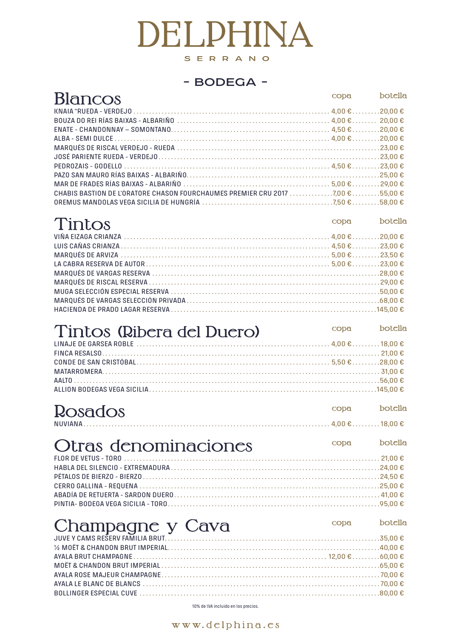10% de IVA incluido en los precios.

www.delphina.es

| <b>Blancos</b>                                                                                                                                                      | copa | hotella |
|---------------------------------------------------------------------------------------------------------------------------------------------------------------------|------|---------|
| KNAIA "RUEDA - VERDEJO $\dots\dots\dots\dots\dots\dots\dots\dots\dots\dots\dots\dots\dots\dots\dots\dots\dots\dots$ 4,00 $\epsilon\dots\dots\dots20$ ,00 $\epsilon$ |      |         |
|                                                                                                                                                                     |      |         |
|                                                                                                                                                                     |      |         |
|                                                                                                                                                                     |      |         |
|                                                                                                                                                                     |      |         |
|                                                                                                                                                                     |      |         |
|                                                                                                                                                                     |      |         |
|                                                                                                                                                                     |      |         |
|                                                                                                                                                                     |      |         |
| CHABIS BASTION DE L'ORATORE CHASON FOURCHAUMES PREMIER CRU 2017 7.00 € 55.00 €                                                                                      |      |         |
|                                                                                                                                                                     |      |         |
|                                                                                                                                                                     |      |         |

| Tintos | copa | botella |
|--------|------|---------|
|        |      |         |
|        |      |         |
|        |      |         |
|        |      |         |
|        |      |         |
|        |      |         |
|        |      |         |
|        |      |         |
|        |      |         |

## Tintos (Ribera del Duero) copa botella

| FINCA RESALSO $\ldots$ $\ldots$ $\ldots$ $\ldots$ $\ldots$ $\ldots$ $\ldots$ $\ldots$ $\ldots$ $\ldots$ $\ldots$ $\ldots$ $\ldots$ $\ldots$ $\ldots$ $\ldots$ $\ldots$ $\ldots$ $\ldots$ $\ldots$ $\ldots$ $\ldots$ $\ldots$ $\ldots$ $\ldots$ $\ldots$ $\ldots$ $\ldots$ $\ldots$ $\ldots$ $\ldots$ $\ldots$ $\ldots$ $\ldots$ $\ld$ |  |
|---------------------------------------------------------------------------------------------------------------------------------------------------------------------------------------------------------------------------------------------------------------------------------------------------------------------------------------|--|
|                                                                                                                                                                                                                                                                                                                                       |  |
|                                                                                                                                                                                                                                                                                                                                       |  |
|                                                                                                                                                                                                                                                                                                                                       |  |
|                                                                                                                                                                                                                                                                                                                                       |  |

| <b>Rosados</b>                              | copa botella |  |
|---------------------------------------------|--------------|--|
| <u>copa botella</u><br>Otras denominaciones |              |  |
|                                             |              |  |
|                                             |              |  |

| <b>Example 12 copa</b> botclla<br>Champagne y Cava |  |
|----------------------------------------------------|--|
|                                                    |  |
|                                                    |  |
|                                                    |  |
|                                                    |  |
|                                                    |  |
|                                                    |  |
|                                                    |  |

# DELPHINA SERRANO

#### - BODEGA -